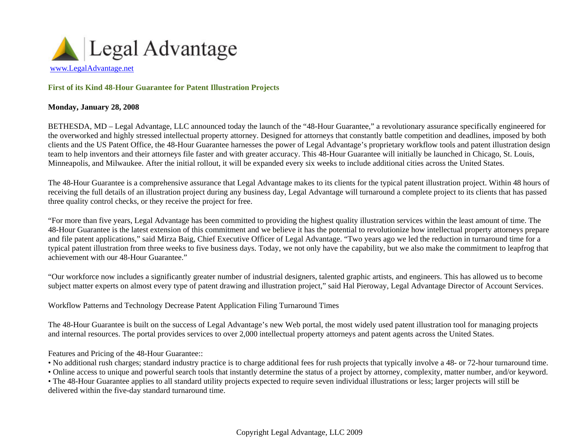

## **First of its Kind 48-Hour Guarantee for Patent Illustration Projects**

## **Monday, January 28, 2008**

BETHESDA, MD – Legal Advantage, LLC announced today the launch of the "48-Hour Guarantee," a revolutionary assurance specifically engineered for the overworked and highly stressed intellectual property attorney. Designed for attorneys that constantly battle competition and deadlines, imposed by both clients and the US Patent Office, the 48-Hour Guarantee harnesses the power of Legal Advantage's proprietary workflow tools and patent illustration design team to help inventors and their attorneys file faster and with greater accuracy. This 48-Hour Guarantee will initially be launched in Chicago, St. Louis, Minneapolis, and Milwaukee. After the initial rollout, it will be expanded every six weeks to include additional cities across the United States.

The 48-Hour Guarantee is a comprehensive assurance that Legal Advantage makes to its clients for the typical patent illustration project. Within 48 hours of receiving the full details of an illustration project during any business day, Legal Advantage will turnaround a complete project to its clients that has passed three quality control checks, or they receive the project for free.

"For more than five years, Legal Advantage has been committed to providing the highest quality illustration services within the least amount of time. The 48-Hour Guarantee is the latest extension of this commitment and we believe it has the potential to revolutionize how intellectual property attorneys prepare and file patent applications," said Mirza Baig, Chief Executive Officer of Legal Advantage. "Two years ago we led the reduction in turnaround time for a typical patent illustration from three weeks to five business days. Today, we not only have the capability, but we also make the commitment to leapfrog that achievement with our 48-Hour Guarantee."

"Our workforce now includes a significantly greater number of industrial designers, talented graphic artists, and engineers. This has allowed us to become subject matter experts on almost every type of patent drawing and illustration project," said Hal Pieroway, Legal Advantage Director of Account Services.

Workflow Patterns and Technology Decrease Patent Application Filing Turnaround Times

The 48-Hour Guarantee is built on the success of Legal Advantage's new Web portal, the most widely used patent illustration tool for managing projects and internal resources. The portal provides services to over 2,000 intellectual property attorneys and patent agents across the United States.

Features and Pricing of the 48-Hour Guarantee::

- No additional rush charges; standard industry practice is to charge additional fees for rush projects that typically involve a 48- or 72-hour turnaround time.
- Online access to unique and powerful search tools that instantly determine the status of a project by attorney, complexity, matter number, and/or keyword.

• The 48-Hour Guarantee applies to all standard utility projects expected to require seven individual illustrations or less; larger projects will still be delivered within the five-day standard turnaround time.